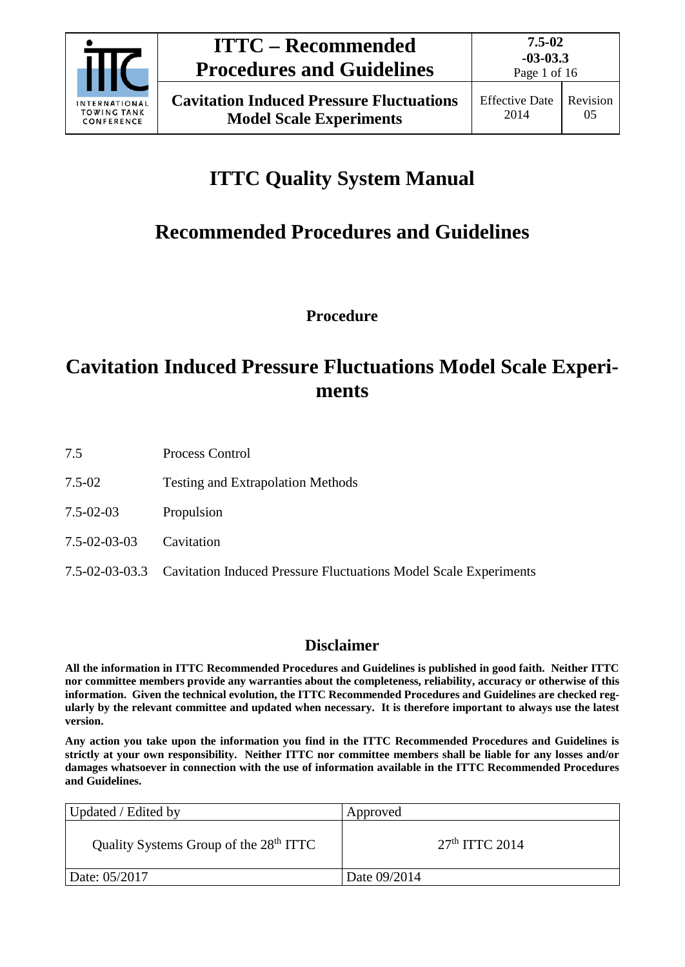

# **ITTC Quality System Manual**

# **Recommended Procedures and Guidelines**

**Procedure**

## **Cavitation Induced Pressure Fluctuations Model Scale Experiments**

- 7.5 Process Control
- 7.5-02 Testing and Extrapolation Methods
- 7.5-02-03 Propulsion
- 7.5-02-03-03 Cavitation
- 7.5-02-03-03.3 Cavitation Induced Pressure Fluctuations Model Scale Experiments

## **Disclaimer**

**All the information in ITTC Recommended Procedures and Guidelines is published in good faith. Neither ITTC nor committee members provide any warranties about the completeness, reliability, accuracy or otherwise of this information. Given the technical evolution, the ITTC Recommended Procedures and Guidelines are checked regularly by the relevant committee and updated when necessary. It is therefore important to always use the latest version.**

**Any action you take upon the information you find in the ITTC Recommended Procedures and Guidelines is strictly at your own responsibility. Neither ITTC nor committee members shall be liable for any losses and/or damages whatsoever in connection with the use of information available in the ITTC Recommended Procedures and Guidelines.**

| Updated / Edited by                                | Approved         |
|----------------------------------------------------|------------------|
| Quality Systems Group of the 28 <sup>th</sup> ITTC | $27th$ ITTC 2014 |
| Date: 05/2017                                      | Date 09/2014     |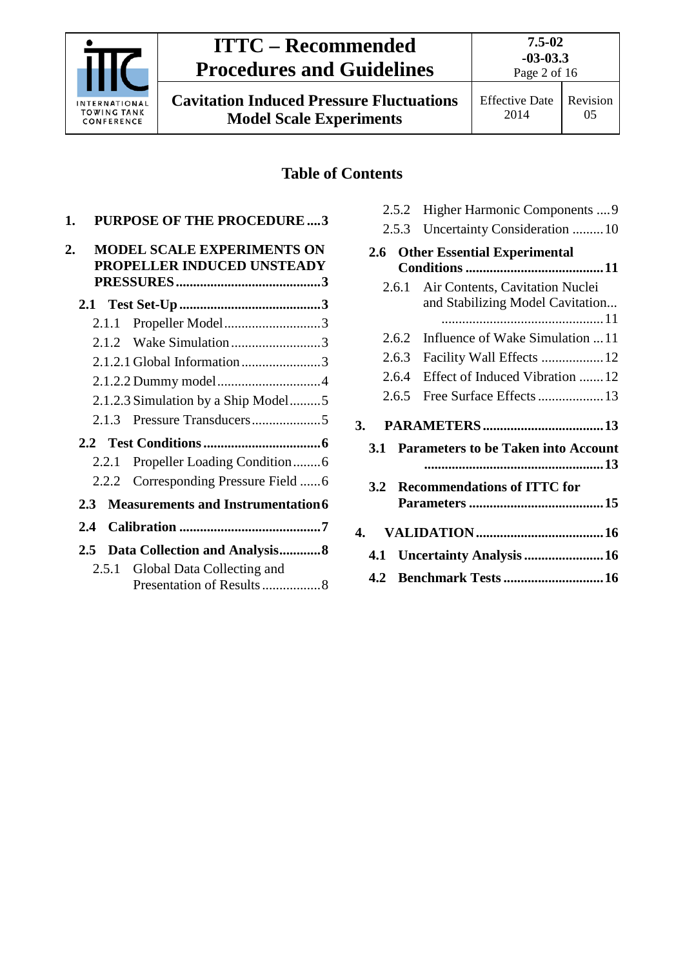

05

**7.5-02 -03-03.3**

## **Table of Contents**

| 1.                                              |       | <b>PURPOSE OF THE PROCEDURE3</b>                                |
|-------------------------------------------------|-------|-----------------------------------------------------------------|
| $\overline{2}$ .                                |       | <b>MODEL SCALE EXPERIMENTS ON</b><br>PROPELLER INDUCED UNSTEADY |
|                                                 |       |                                                                 |
|                                                 | 2.1.1 | Propeller Model3                                                |
|                                                 |       |                                                                 |
|                                                 |       | 2.1.2.1 Global Information3                                     |
|                                                 |       |                                                                 |
|                                                 |       | 2.1.2.3 Simulation by a Ship Model5                             |
|                                                 | 2.1.3 |                                                                 |
|                                                 |       |                                                                 |
|                                                 | 2.2.1 | Propeller Loading Condition6                                    |
|                                                 |       | 2.2.2 Corresponding Pressure Field 6                            |
| <b>Measurements and Instrumentation6</b><br>2.3 |       |                                                                 |
| 2.4                                             |       |                                                                 |
| $2.5^{\circ}$                                   |       | Data Collection and Analysis8                                   |
|                                                 |       | 2.5.1 Global Data Collecting and<br>Presentation of Results8    |

|       |       | 2.5.2 Higher Harmonic Components  9                                 |  |
|-------|-------|---------------------------------------------------------------------|--|
|       | 2.5.3 | Uncertainty Consideration 10                                        |  |
| 2.6   |       | <b>Other Essential Experimental</b>                                 |  |
|       |       |                                                                     |  |
|       | 2.6.1 | Air Contents, Cavitation Nuclei<br>and Stabilizing Model Cavitation |  |
|       | 2.6.2 | Influence of Wake Simulation  11                                    |  |
|       | 2.6.3 | Facility Wall Effects  12                                           |  |
| 2.6.4 |       | Effect of Induced Vibration 12                                      |  |
| 2.6.5 |       | Free Surface Effects  13                                            |  |
| 3.    |       |                                                                     |  |
| 3.1   |       | <b>Parameters to be Taken into Account</b>                          |  |
|       |       |                                                                     |  |
| 3.2   |       | <b>Recommendations of ITTC for</b>                                  |  |
|       |       |                                                                     |  |
|       |       |                                                                     |  |
|       |       | 4.1 Uncertainty Analysis 16                                         |  |
|       |       |                                                                     |  |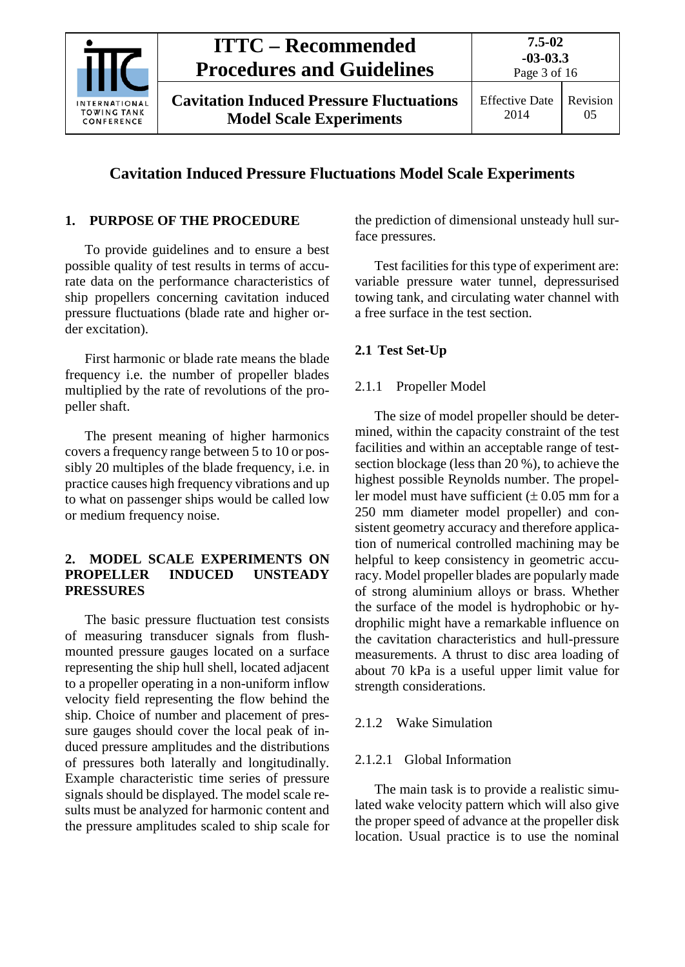

Effective Date 2014 Revision 05

## **Cavitation Induced Pressure Fluctuations Model Scale Experiments**

## <span id="page-2-0"></span>**1. PURPOSE OF THE PROCEDURE**

To provide guidelines and to ensure a best possible quality of test results in terms of accurate data on the performance characteristics of ship propellers concerning cavitation induced pressure fluctuations (blade rate and higher order excitation).

First harmonic or blade rate means the blade frequency i.e. the number of propeller blades multiplied by the rate of revolutions of the propeller shaft.

The present meaning of higher harmonics covers a frequency range between 5 to 10 or possibly 20 multiples of the blade frequency, i.e. in practice causes high frequency vibrations and up to what on passenger ships would be called low or medium frequency noise.

#### <span id="page-2-1"></span>**2. MODEL SCALE EXPERIMENTS ON PROPELLER INDUCED UNSTEADY PRESSURES**

The basic pressure fluctuation test consists of measuring transducer signals from flushmounted pressure gauges located on a surface representing the ship hull shell, located adjacent to a propeller operating in a non-uniform inflow velocity field representing the flow behind the ship. Choice of number and placement of pressure gauges should cover the local peak of induced pressure amplitudes and the distributions of pressures both laterally and longitudinally. Example characteristic time series of pressure signals should be displayed. The model scale results must be analyzed for harmonic content and the pressure amplitudes scaled to ship scale for the prediction of dimensional unsteady hull surface pressures.

Test facilities for this type of experiment are: variable pressure water tunnel, depressurised towing tank, and circulating water channel with a free surface in the test section.

#### <span id="page-2-3"></span><span id="page-2-2"></span>**2.1 Test Set-Up**

#### 2.1.1 Propeller Model

The size of model propeller should be determined, within the capacity constraint of the test facilities and within an acceptable range of testsection blockage (less than 20 %), to achieve the highest possible Reynolds number. The propeller model must have sufficient  $(\pm 0.05$  mm for a 250 mm diameter model propeller) and consistent geometry accuracy and therefore application of numerical controlled machining may be helpful to keep consistency in geometric accuracy. Model propeller blades are popularly made of strong aluminium alloys or brass. Whether the surface of the model is hydrophobic or hydrophilic might have a remarkable influence on the cavitation characteristics and hull-pressure measurements. A thrust to disc area loading of about 70 kPa is a useful upper limit value for strength considerations.

#### <span id="page-2-5"></span><span id="page-2-4"></span>2.1.2 Wake Simulation

#### 2.1.2.1 Global Information

The main task is to provide a realistic simulated wake velocity pattern which will also give the proper speed of advance at the propeller disk location. Usual practice is to use the nominal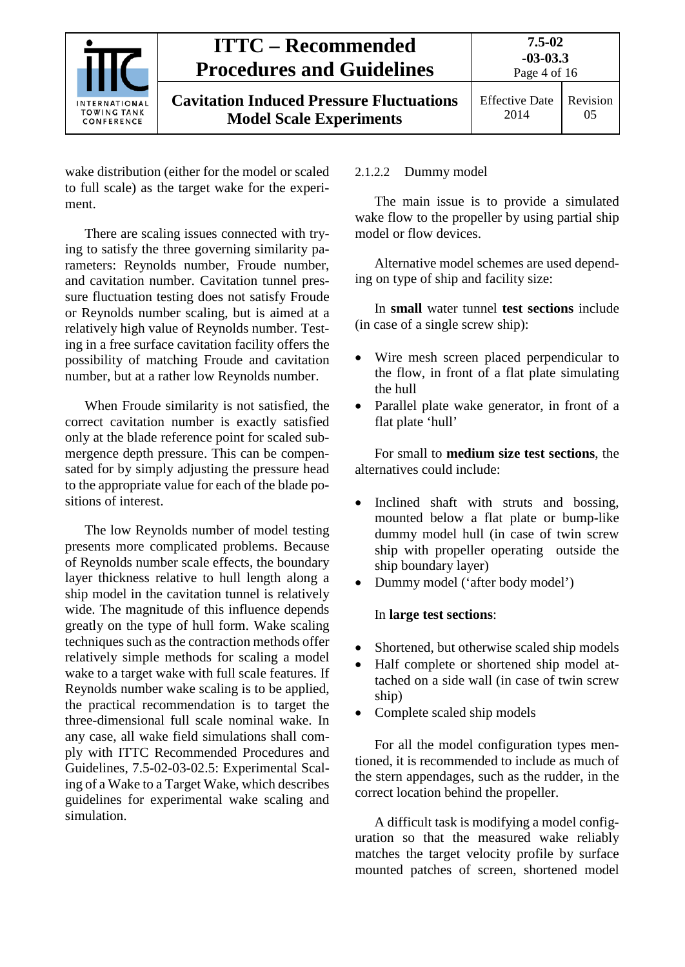

wake distribution (either for the model or scaled to full scale) as the target wake for the experiment.

There are scaling issues connected with trying to satisfy the three governing similarity parameters: Reynolds number, Froude number, and cavitation number. Cavitation tunnel pressure fluctuation testing does not satisfy Froude or Reynolds number scaling, but is aimed at a relatively high value of Reynolds number. Testing in a free surface cavitation facility offers the possibility of matching Froude and cavitation number, but at a rather low Reynolds number.

When Froude similarity is not satisfied, the correct cavitation number is exactly satisfied only at the blade reference point for scaled submergence depth pressure. This can be compensated for by simply adjusting the pressure head to the appropriate value for each of the blade positions of interest.

The low Reynolds number of model testing presents more complicated problems. Because of Reynolds number scale effects, the boundary layer thickness relative to hull length along a ship model in the cavitation tunnel is relatively wide. The magnitude of this influence depends greatly on the type of hull form. Wake scaling techniques such as the contraction methods offer relatively simple methods for scaling a model wake to a target wake with full scale features. If Reynolds number wake scaling is to be applied, the practical recommendation is to target the three-dimensional full scale nominal wake. In any case, all wake field simulations shall comply with ITTC Recommended Procedures and Guidelines, 7.5-02-03-02.5: Experimental Scaling of a Wake to a Target Wake, which describes guidelines for experimental wake scaling and simulation.

## <span id="page-3-0"></span>2.1.2.2 Dummy model

The main issue is to provide a simulated wake flow to the propeller by using partial ship model or flow devices.

Alternative model schemes are used depending on type of ship and facility size:

In **small** water tunnel **test sections** include (in case of a single screw ship):

- Wire mesh screen placed perpendicular to the flow, in front of a flat plate simulating the hull
- Parallel plate wake generator, in front of a flat plate 'hull'

For small to **medium size test sections**, the alternatives could include:

- Inclined shaft with struts and bossing, mounted below a flat plate or bump-like dummy model hull (in case of twin screw ship with propeller operating outside the ship boundary layer)
- Dummy model ('after body model')

## In **large test sections**:

- Shortened, but otherwise scaled ship models
- Half complete or shortened ship model attached on a side wall (in case of twin screw ship)
- Complete scaled ship models

For all the model configuration types mentioned, it is recommended to include as much of the stern appendages, such as the rudder, in the correct location behind the propeller.

A difficult task is modifying a model configuration so that the measured wake reliably matches the target velocity profile by surface mounted patches of screen, shortened model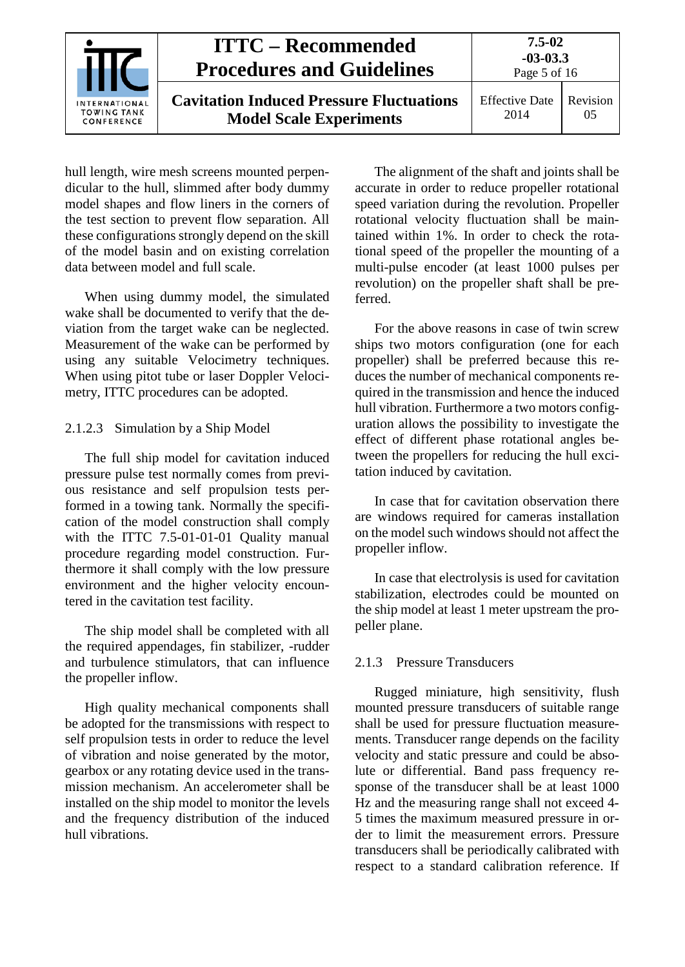| INTERNATIONAL<br><b>TOWING TANK</b><br>CONFERENCE | <b>ITTC – Recommended</b><br><b>Procedures and Guidelines</b>                     | 7.5-02<br>$-03-03.3$<br>Page 5 of 16 |                |
|---------------------------------------------------|-----------------------------------------------------------------------------------|--------------------------------------|----------------|
|                                                   | <b>Cavitation Induced Pressure Fluctuations</b><br><b>Model Scale Experiments</b> | <b>Effective Date</b><br>2014        | Revision<br>05 |

hull length, wire mesh screens mounted perpendicular to the hull, slimmed after body dummy model shapes and flow liners in the corners of the test section to prevent flow separation. All these configurations strongly depend on the skill of the model basin and on existing correlation data between model and full scale.

When using dummy model, the simulated wake shall be documented to verify that the deviation from the target wake can be neglected. Measurement of the wake can be performed by using any suitable Velocimetry techniques. When using pitot tube or laser Doppler Velocimetry, ITTC procedures can be adopted.

<span id="page-4-0"></span>2.1.2.3 Simulation by a Ship Model

The full ship model for cavitation induced pressure pulse test normally comes from previous resistance and self propulsion tests performed in a towing tank. Normally the specification of the model construction shall comply with the ITTC 7.5-01-01-01 Ouality manual procedure regarding model construction. Furthermore it shall comply with the low pressure environment and the higher velocity encountered in the cavitation test facility.

The ship model shall be completed with all the required appendages, fin stabilizer, -rudder and turbulence stimulators, that can influence the propeller inflow.

High quality mechanical components shall be adopted for the transmissions with respect to self propulsion tests in order to reduce the level of vibration and noise generated by the motor, gearbox or any rotating device used in the transmission mechanism. An accelerometer shall be installed on the ship model to monitor the levels and the frequency distribution of the induced hull vibrations.

The alignment of the shaft and joints shall be accurate in order to reduce propeller rotational speed variation during the revolution. Propeller rotational velocity fluctuation shall be maintained within 1%. In order to check the rotational speed of the propeller the mounting of a multi-pulse encoder (at least 1000 pulses per revolution) on the propeller shaft shall be preferred.

For the above reasons in case of twin screw ships two motors configuration (one for each propeller) shall be preferred because this reduces the number of mechanical components required in the transmission and hence the induced hull vibration. Furthermore a two motors configuration allows the possibility to investigate the effect of different phase rotational angles between the propellers for reducing the hull excitation induced by cavitation.

In case that for cavitation observation there are windows required for cameras installation on the model such windows should not affect the propeller inflow.

In case that electrolysis is used for cavitation stabilization, electrodes could be mounted on the ship model at least 1 meter upstream the propeller plane.

#### <span id="page-4-1"></span>2.1.3 Pressure Transducers

Rugged miniature, high sensitivity, flush mounted pressure transducers of suitable range shall be used for pressure fluctuation measurements. Transducer range depends on the facility velocity and static pressure and could be absolute or differential. Band pass frequency response of the transducer shall be at least 1000 Hz and the measuring range shall not exceed 4- 5 times the maximum measured pressure in order to limit the measurement errors. Pressure transducers shall be periodically calibrated with respect to a standard calibration reference. If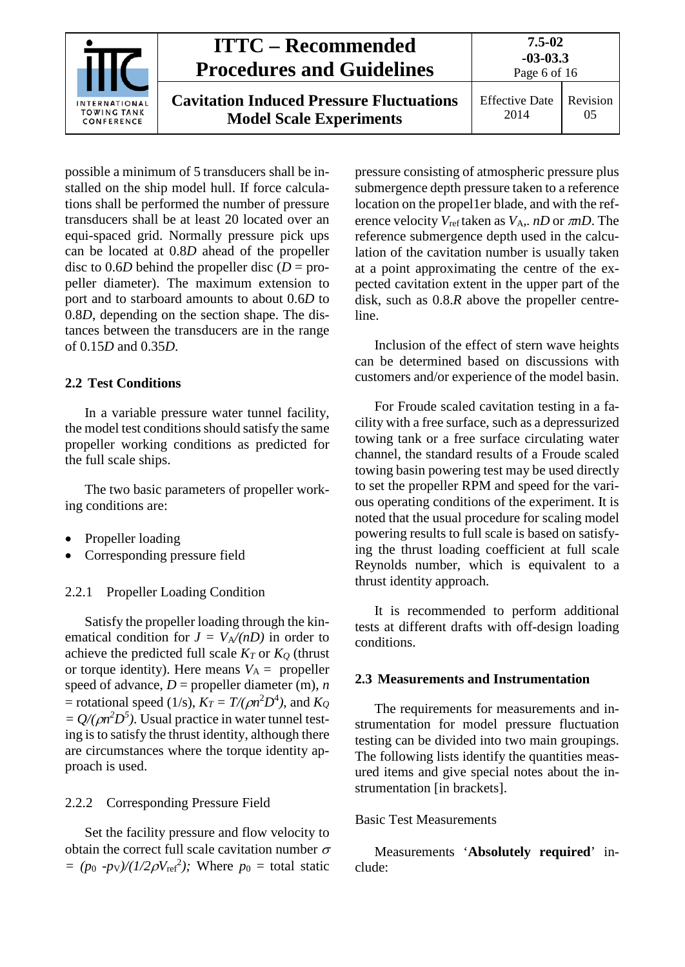

Effective Date 2014 Revision 05

Page 6 of 16

possible a minimum of 5 transducers shall be installed on the ship model hull. If force calculations shall be performed the number of pressure transducers shall be at least 20 located over an equi-spaced grid. Normally pressure pick ups can be located at 0.8*D* ahead of the propeller disc to 0.6*D* behind the propeller disc ( $D =$  propeller diameter). The maximum extension to port and to starboard amounts to about 0.6*D* to 0.8*D*, depending on the section shape. The distances between the transducers are in the range of 0.15*D* and 0.35*D*.

## <span id="page-5-0"></span>**2.2 Test Conditions**

In a variable pressure water tunnel facility, the model test conditions should satisfy the same propeller working conditions as predicted for the full scale ships.

The two basic parameters of propeller working conditions are:

- Propeller loading
- Corresponding pressure field

## <span id="page-5-1"></span>2.2.1 Propeller Loading Condition

Satisfy the propeller loading through the kinematical condition for  $J = V_A/(nD)$  in order to achieve the predicted full scale  $K_T$  or  $K_Q$  (thrust or torque identity). Here means  $V_A$  = propeller speed of advance,  $D =$  propeller diameter (m),  $n$  $=$  rotational speed (1/s),  $K_T = T/(\rho n^2 D^4)$ , and  $K_Q$  $= Q/(\rho n^2 D^5)$ . Usual practice in water tunnel testing is to satisfy the thrust identity, although there are circumstances where the torque identity approach is used.

## <span id="page-5-2"></span>2.2.2 Corresponding Pressure Field

Set the facility pressure and flow velocity to obtain the correct full scale cavitation number  $\sigma$  $= (p_0 - p_V)/(1/2\rho V_{\text{ref}}^2)$ ; Where  $p_0 =$  total static pressure consisting of atmospheric pressure plus submergence depth pressure taken to a reference location on the propel1er blade, and with the reference velocity  $V_{ref}$  taken as  $V_A$ ,. *nD* or  $\pi nD$ . The reference submergence depth used in the calculation of the cavitation number is usually taken at a point approximating the centre of the expected cavitation extent in the upper part of the disk, such as 0.8.*R* above the propeller centreline.

Inclusion of the effect of stern wave heights can be determined based on discussions with customers and/or experience of the model basin.

For Froude scaled cavitation testing in a facility with a free surface, such as a depressurized towing tank or a free surface circulating water channel, the standard results of a Froude scaled towing basin powering test may be used directly to set the propeller RPM and speed for the various operating conditions of the experiment. It is noted that the usual procedure for scaling model powering results to full scale is based on satisfying the thrust loading coefficient at full scale Reynolds number, which is equivalent to a thrust identity approach.

It is recommended to perform additional tests at different drafts with off-design loading conditions.

## <span id="page-5-3"></span>**2.3 Measurements and Instrumentation**

The requirements for measurements and instrumentation for model pressure fluctuation testing can be divided into two main groupings. The following lists identify the quantities measured items and give special notes about the instrumentation [in brackets].

## Basic Test Measurements

Measurements '**Absolutely required**' include: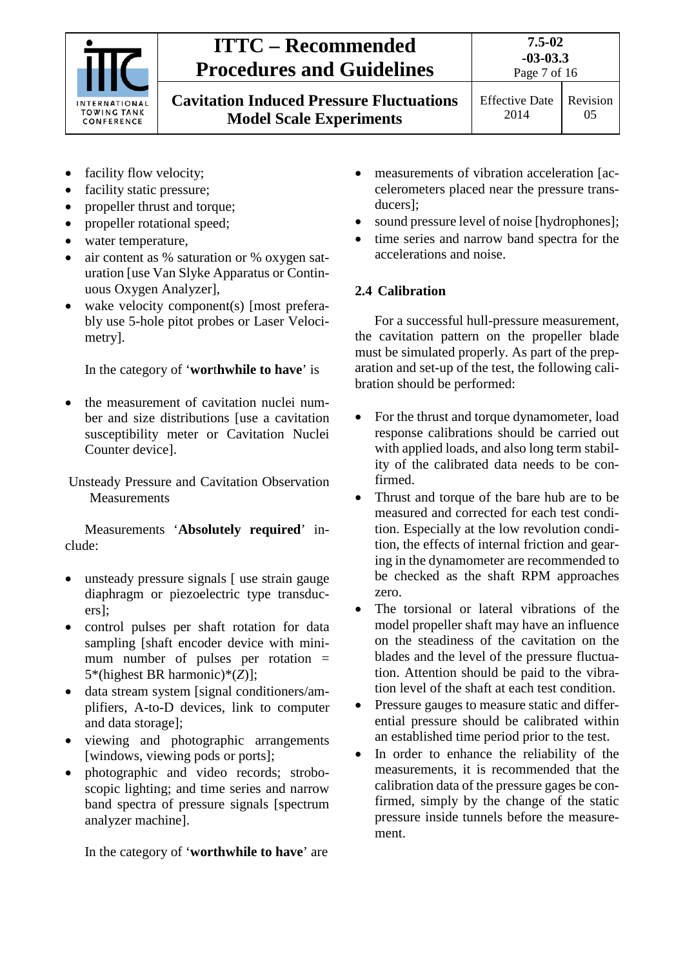

**7.5-02 -03-03.3**

**Cavitation Induced Pressure Fluctuations Model Scale Experiments**

Page 7 of 16 Effective Date

- facility flow velocity;
- facility static pressure;
- propeller thrust and torque;
- propeller rotational speed;
- water temperature,
- air content as % saturation or % oxygen saturation [use Van Slyke Apparatus or Continuous Oxygen Analyzer],
- wake velocity component(s) [most preferably use 5-hole pitot probes or Laser Velocimetry].

In the category of '**wor**t**hwhile to have**' is

• the measurement of cavitation nuclei number and size distributions [use a cavitation susceptibility meter or Cavitation Nuclei Counter device].

Unsteady Pressure and Cavitation Observation Measurements

Measurements '**Absolutely required**' include:

- unsteady pressure signals [ use strain gauge diaphragm or piezoelectric type transducers];
- control pulses per shaft rotation for data sampling [shaft encoder device with minimum number of pulses per rotation = 5\*(highest BR harmonic)\*(*Z*)];
- data stream system [signal conditioners/amplifiers, A-to-D devices, link to computer and data storage];
- viewing and photographic arrangements [windows, viewing pods or ports];
- photographic and video records; stroboscopic lighting; and time series and narrow band spectra of pressure signals [spectrum analyzer machine].

In the category of '**worthwhile to have**' are

- measurements of vibration acceleration [accelerometers placed near the pressure transducers];
- sound pressure level of noise [hydrophones];
- time series and narrow band spectra for the accelerations and noise.

## <span id="page-6-0"></span>**2.4 Calibration**

For a successful hull-pressure measurement, the cavitation pattern on the propeller blade must be simulated properly. As part of the preparation and set-up of the test, the following calibration should be performed:

- For the thrust and torque dynamometer, load response calibrations should be carried out with applied loads, and also long term stability of the calibrated data needs to be confirmed.
- Thrust and torque of the bare hub are to be measured and corrected for each test condition. Especially at the low revolution condition, the effects of internal friction and gearing in the dynamometer are recommended to be checked as the shaft RPM approaches zero.
- The torsional or lateral vibrations of the model propeller shaft may have an influence on the steadiness of the cavitation on the blades and the level of the pressure fluctuation. Attention should be paid to the vibration level of the shaft at each test condition.
- Pressure gauges to measure static and differential pressure should be calibrated within an established time period prior to the test.
- In order to enhance the reliability of the measurements, it is recommended that the calibration data of the pressure gages be confirmed, simply by the change of the static pressure inside tunnels before the measurement.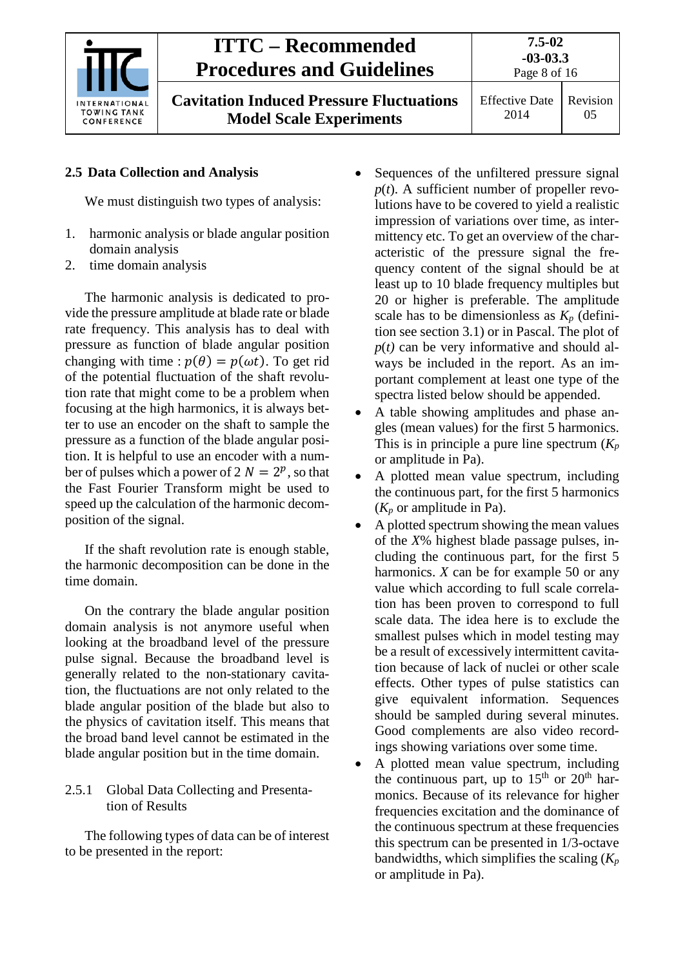

**7.5-02 -03-03.3** Page 8 of 16

**Cavitation Induced Pressure Fluctuations Model Scale Experiments**

Effective Date 2014 Revision 05

## <span id="page-7-0"></span>**2.5 Data Collection and Analysis**

We must distinguish two types of analysis:

- 1. harmonic analysis or blade angular position domain analysis
- 2. time domain analysis

The harmonic analysis is dedicated to provide the pressure amplitude at blade rate or blade rate frequency. This analysis has to deal with pressure as function of blade angular position changing with time :  $p(\theta) = p(\omega t)$ . To get rid of the potential fluctuation of the shaft revolution rate that might come to be a problem when focusing at the high harmonics, it is always better to use an encoder on the shaft to sample the pressure as a function of the blade angular position. It is helpful to use an encoder with a number of pulses which a power of  $2 N = 2^p$ , so that the Fast Fourier Transform might be used to speed up the calculation of the harmonic decomposition of the signal.

If the shaft revolution rate is enough stable, the harmonic decomposition can be done in the time domain.

On the contrary the blade angular position domain analysis is not anymore useful when looking at the broadband level of the pressure pulse signal. Because the broadband level is generally related to the non-stationary cavitation, the fluctuations are not only related to the blade angular position of the blade but also to the physics of cavitation itself. This means that the broad band level cannot be estimated in the blade angular position but in the time domain.

#### <span id="page-7-1"></span>2.5.1 Global Data Collecting and Presentation of Results

The following types of data can be of interest to be presented in the report:

- Sequences of the unfiltered pressure signal  $p(t)$ . A sufficient number of propeller revolutions have to be covered to yield a realistic impression of variations over time, as intermittency etc. To get an overview of the characteristic of the pressure signal the frequency content of the signal should be at least up to 10 blade frequency multiples but 20 or higher is preferable. The amplitude scale has to be dimensionless as  $K_p$  (definition see section 3.1) or in Pascal. The plot of  $p(t)$  can be very informative and should always be included in the report. As an important complement at least one type of the spectra listed below should be appended.
- A table showing amplitudes and phase angles (mean values) for the first 5 harmonics. This is in principle a pure line spectrum (*Kp* or amplitude in Pa).
- A plotted mean value spectrum, including the continuous part, for the first 5 harmonics (*Kp* or amplitude in Pa).
- A plotted spectrum showing the mean values of the *X*% highest blade passage pulses, including the continuous part, for the first 5 harmonics. *X* can be for example 50 or any value which according to full scale correlation has been proven to correspond to full scale data. The idea here is to exclude the smallest pulses which in model testing may be a result of excessively intermittent cavitation because of lack of nuclei or other scale effects. Other types of pulse statistics can give equivalent information. Sequences should be sampled during several minutes. Good complements are also video recordings showing variations over some time.
- A plotted mean value spectrum, including the continuous part, up to  $15<sup>th</sup>$  or  $20<sup>th</sup>$  harmonics. Because of its relevance for higher frequencies excitation and the dominance of the continuous spectrum at these frequencies this spectrum can be presented in 1/3-octave bandwidths, which simplifies the scaling (*Kp* or amplitude in Pa).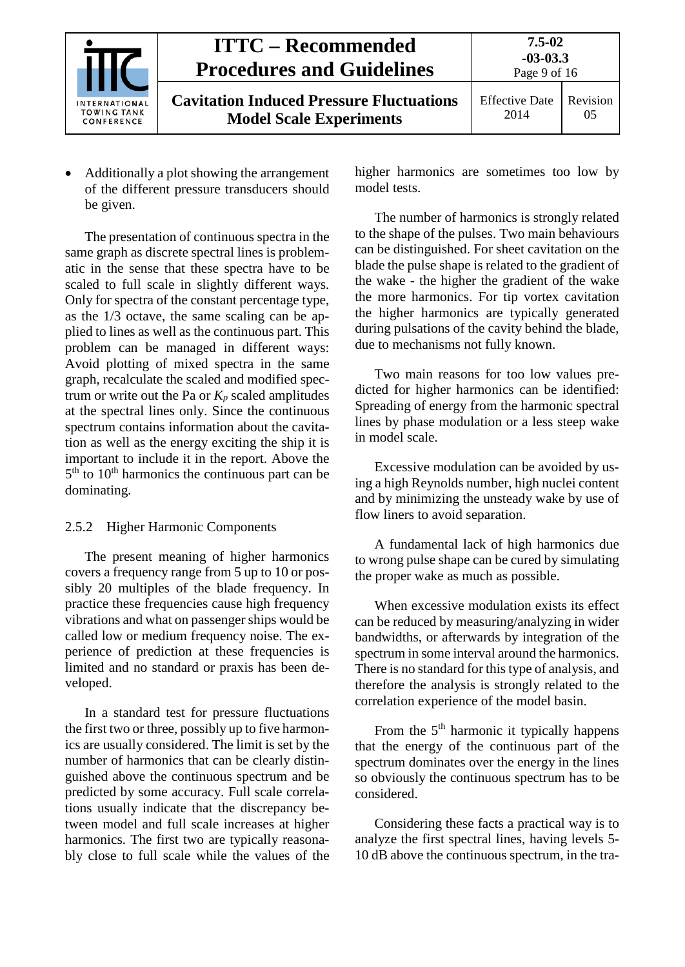

• Additionally a plot showing the arrangement of the different pressure transducers should be given.

The presentation of continuous spectra in the same graph as discrete spectral lines is problematic in the sense that these spectra have to be scaled to full scale in slightly different ways. Only for spectra of the constant percentage type, as the 1/3 octave, the same scaling can be applied to lines as well as the continuous part. This problem can be managed in different ways: Avoid plotting of mixed spectra in the same graph, recalculate the scaled and modified spectrum or write out the Pa or  $K_p$  scaled amplitudes at the spectral lines only. Since the continuous spectrum contains information about the cavitation as well as the energy exciting the ship it is important to include it in the report. Above the  $5<sup>th</sup>$  to  $10<sup>th</sup>$  harmonics the continuous part can be dominating.

## <span id="page-8-0"></span>2.5.2 Higher Harmonic Components

The present meaning of higher harmonics covers a frequency range from 5 up to 10 or possibly 20 multiples of the blade frequency. In practice these frequencies cause high frequency vibrations and what on passenger ships would be called low or medium frequency noise. The experience of prediction at these frequencies is limited and no standard or praxis has been developed.

In a standard test for pressure fluctuations the first two or three, possibly up to five harmonics are usually considered. The limit is set by the number of harmonics that can be clearly distinguished above the continuous spectrum and be predicted by some accuracy. Full scale correlations usually indicate that the discrepancy between model and full scale increases at higher harmonics. The first two are typically reasonably close to full scale while the values of the higher harmonics are sometimes too low by model tests.

The number of harmonics is strongly related to the shape of the pulses. Two main behaviours can be distinguished. For sheet cavitation on the blade the pulse shape is related to the gradient of the wake - the higher the gradient of the wake the more harmonics. For tip vortex cavitation the higher harmonics are typically generated during pulsations of the cavity behind the blade, due to mechanisms not fully known.

Two main reasons for too low values predicted for higher harmonics can be identified: Spreading of energy from the harmonic spectral lines by phase modulation or a less steep wake in model scale.

Excessive modulation can be avoided by using a high Reynolds number, high nuclei content and by minimizing the unsteady wake by use of flow liners to avoid separation.

A fundamental lack of high harmonics due to wrong pulse shape can be cured by simulating the proper wake as much as possible.

When excessive modulation exists its effect can be reduced by measuring/analyzing in wider bandwidths, or afterwards by integration of the spectrum in some interval around the harmonics. There is no standard for this type of analysis, and therefore the analysis is strongly related to the correlation experience of the model basin.

From the 5<sup>th</sup> harmonic it typically happens that the energy of the continuous part of the spectrum dominates over the energy in the lines so obviously the continuous spectrum has to be considered.

Considering these facts a practical way is to analyze the first spectral lines, having levels 5- 10 dB above the continuous spectrum, in the tra-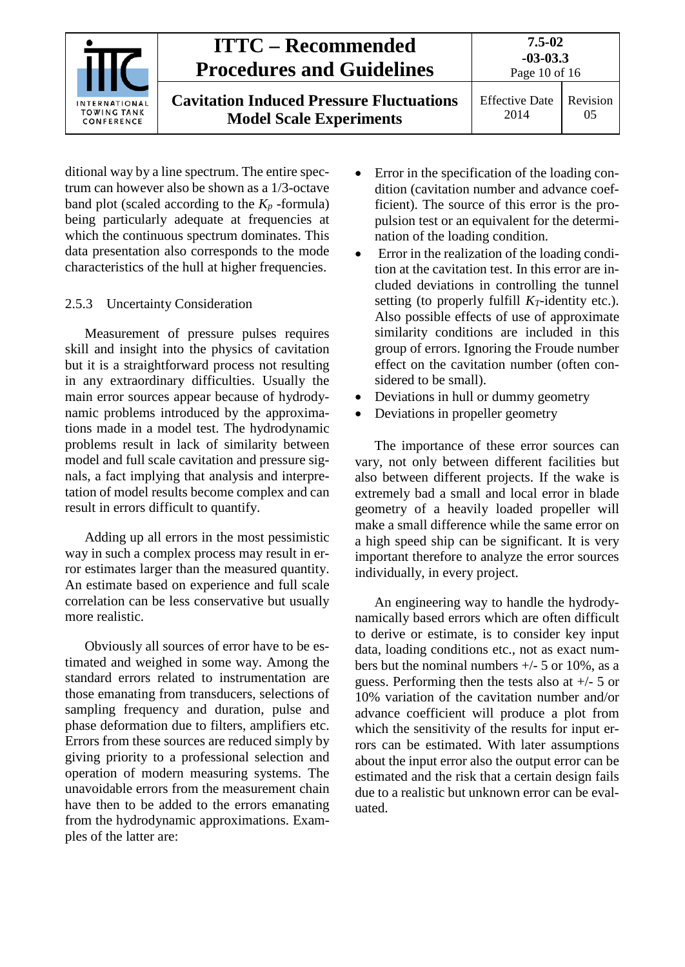

ditional way by a line spectrum. The entire spectrum can however also be shown as a 1/3-octave band plot (scaled according to the  $K_p$ -formula) being particularly adequate at frequencies at which the continuous spectrum dominates. This data presentation also corresponds to the mode characteristics of the hull at higher frequencies.

#### <span id="page-9-0"></span>2.5.3 Uncertainty Consideration

Measurement of pressure pulses requires skill and insight into the physics of cavitation but it is a straightforward process not resulting in any extraordinary difficulties. Usually the main error sources appear because of hydrodynamic problems introduced by the approximations made in a model test. The hydrodynamic problems result in lack of similarity between model and full scale cavitation and pressure signals, a fact implying that analysis and interpretation of model results become complex and can result in errors difficult to quantify.

Adding up all errors in the most pessimistic way in such a complex process may result in error estimates larger than the measured quantity. An estimate based on experience and full scale correlation can be less conservative but usually more realistic.

Obviously all sources of error have to be estimated and weighed in some way. Among the standard errors related to instrumentation are those emanating from transducers, selections of sampling frequency and duration, pulse and phase deformation due to filters, amplifiers etc. Errors from these sources are reduced simply by giving priority to a professional selection and operation of modern measuring systems. The unavoidable errors from the measurement chain have then to be added to the errors emanating from the hydrodynamic approximations. Examples of the latter are:

- Error in the specification of the loading condition (cavitation number and advance coefficient). The source of this error is the propulsion test or an equivalent for the determination of the loading condition.
- Error in the realization of the loading condition at the cavitation test. In this error are included deviations in controlling the tunnel setting (to properly fulfill  $K_T$ -identity etc.). Also possible effects of use of approximate similarity conditions are included in this group of errors. Ignoring the Froude number effect on the cavitation number (often considered to be small).
- Deviations in hull or dummy geometry
- Deviations in propeller geometry

The importance of these error sources can vary, not only between different facilities but also between different projects. If the wake is extremely bad a small and local error in blade geometry of a heavily loaded propeller will make a small difference while the same error on a high speed ship can be significant. It is very important therefore to analyze the error sources individually, in every project.

An engineering way to handle the hydrodynamically based errors which are often difficult to derive or estimate, is to consider key input data, loading conditions etc., not as exact numbers but the nominal numbers  $+/-$  5 or 10%, as a guess. Performing then the tests also at +/- 5 or 10% variation of the cavitation number and/or advance coefficient will produce a plot from which the sensitivity of the results for input errors can be estimated. With later assumptions about the input error also the output error can be estimated and the risk that a certain design fails due to a realistic but unknown error can be evaluated.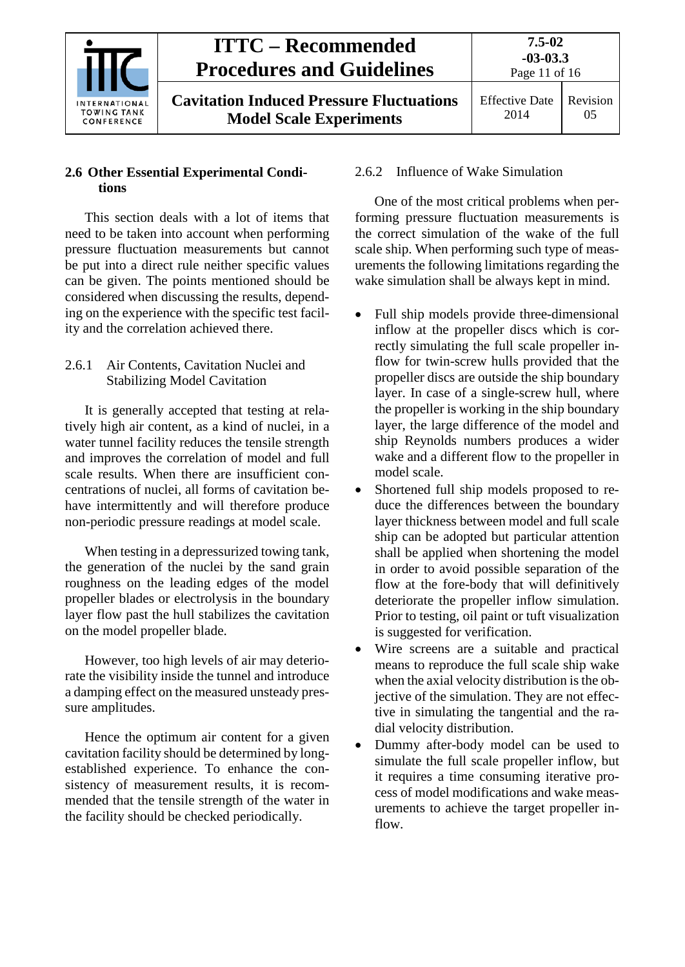

## Revision 05

## <span id="page-10-0"></span>**2.6 Other Essential Experimental Conditions**

This section deals with a lot of items that need to be taken into account when performing pressure fluctuation measurements but cannot be put into a direct rule neither specific values can be given. The points mentioned should be considered when discussing the results, depending on the experience with the specific test facility and the correlation achieved there.

### <span id="page-10-1"></span>2.6.1 Air Contents, Cavitation Nuclei and Stabilizing Model Cavitation

It is generally accepted that testing at relatively high air content, as a kind of nuclei, in a water tunnel facility reduces the tensile strength and improves the correlation of model and full scale results. When there are insufficient concentrations of nuclei, all forms of cavitation behave intermittently and will therefore produce non-periodic pressure readings at model scale.

When testing in a depressurized towing tank, the generation of the nuclei by the sand grain roughness on the leading edges of the model propeller blades or electrolysis in the boundary layer flow past the hull stabilizes the cavitation on the model propeller blade.

However, too high levels of air may deteriorate the visibility inside the tunnel and introduce a damping effect on the measured unsteady pressure amplitudes.

Hence the optimum air content for a given cavitation facility should be determined by longestablished experience. To enhance the consistency of measurement results, it is recommended that the tensile strength of the water in the facility should be checked periodically.

## <span id="page-10-2"></span>2.6.2 Influence of Wake Simulation

One of the most critical problems when performing pressure fluctuation measurements is the correct simulation of the wake of the full scale ship. When performing such type of measurements the following limitations regarding the wake simulation shall be always kept in mind.

- Full ship models provide three-dimensional inflow at the propeller discs which is correctly simulating the full scale propeller inflow for twin-screw hulls provided that the propeller discs are outside the ship boundary layer. In case of a single-screw hull, where the propeller is working in the ship boundary layer, the large difference of the model and ship Reynolds numbers produces a wider wake and a different flow to the propeller in model scale.
- Shortened full ship models proposed to reduce the differences between the boundary layer thickness between model and full scale ship can be adopted but particular attention shall be applied when shortening the model in order to avoid possible separation of the flow at the fore-body that will definitively deteriorate the propeller inflow simulation. Prior to testing, oil paint or tuft visualization is suggested for verification.
- Wire screens are a suitable and practical means to reproduce the full scale ship wake when the axial velocity distribution is the objective of the simulation. They are not effective in simulating the tangential and the radial velocity distribution.
- Dummy after-body model can be used to simulate the full scale propeller inflow, but it requires a time consuming iterative process of model modifications and wake measurements to achieve the target propeller inflow.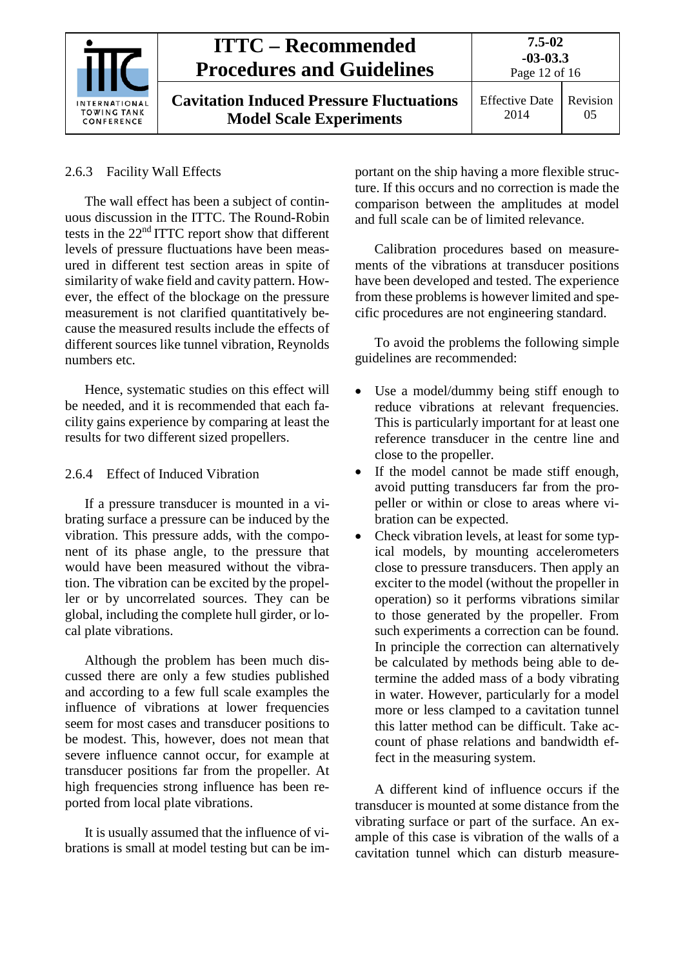

**Cavitation Induced Pressure Fluctuations Model Scale Experiments**

**7.5-02**

## <span id="page-11-0"></span>2.6.3 Facility Wall Effects

The wall effect has been a subject of continuous discussion in the ITTC. The Round-Robin tests in the 22nd ITTC report show that different levels of pressure fluctuations have been measured in different test section areas in spite of similarity of wake field and cavity pattern. However, the effect of the blockage on the pressure measurement is not clarified quantitatively because the measured results include the effects of different sources like tunnel vibration, Reynolds numbers etc.

Hence, systematic studies on this effect will be needed, and it is recommended that each facility gains experience by comparing at least the results for two different sized propellers.

## <span id="page-11-1"></span>2.6.4 Effect of Induced Vibration

If a pressure transducer is mounted in a vibrating surface a pressure can be induced by the vibration. This pressure adds, with the component of its phase angle, to the pressure that would have been measured without the vibration. The vibration can be excited by the propeller or by uncorrelated sources. They can be global, including the complete hull girder, or local plate vibrations.

Although the problem has been much discussed there are only a few studies published and according to a few full scale examples the influence of vibrations at lower frequencies seem for most cases and transducer positions to be modest. This, however, does not mean that severe influence cannot occur, for example at transducer positions far from the propeller. At high frequencies strong influence has been reported from local plate vibrations.

It is usually assumed that the influence of vibrations is small at model testing but can be important on the ship having a more flexible structure. If this occurs and no correction is made the comparison between the amplitudes at model and full scale can be of limited relevance.

Calibration procedures based on measurements of the vibrations at transducer positions have been developed and tested. The experience from these problems is however limited and specific procedures are not engineering standard.

To avoid the problems the following simple guidelines are recommended:

- Use a model/dummy being stiff enough to reduce vibrations at relevant frequencies. This is particularly important for at least one reference transducer in the centre line and close to the propeller.
- If the model cannot be made stiff enough, avoid putting transducers far from the propeller or within or close to areas where vibration can be expected.
- Check vibration levels, at least for some typical models, by mounting accelerometers close to pressure transducers. Then apply an exciter to the model (without the propeller in operation) so it performs vibrations similar to those generated by the propeller. From such experiments a correction can be found. In principle the correction can alternatively be calculated by methods being able to determine the added mass of a body vibrating in water. However, particularly for a model more or less clamped to a cavitation tunnel this latter method can be difficult. Take account of phase relations and bandwidth effect in the measuring system.

A different kind of influence occurs if the transducer is mounted at some distance from the vibrating surface or part of the surface. An example of this case is vibration of the walls of a cavitation tunnel which can disturb measure-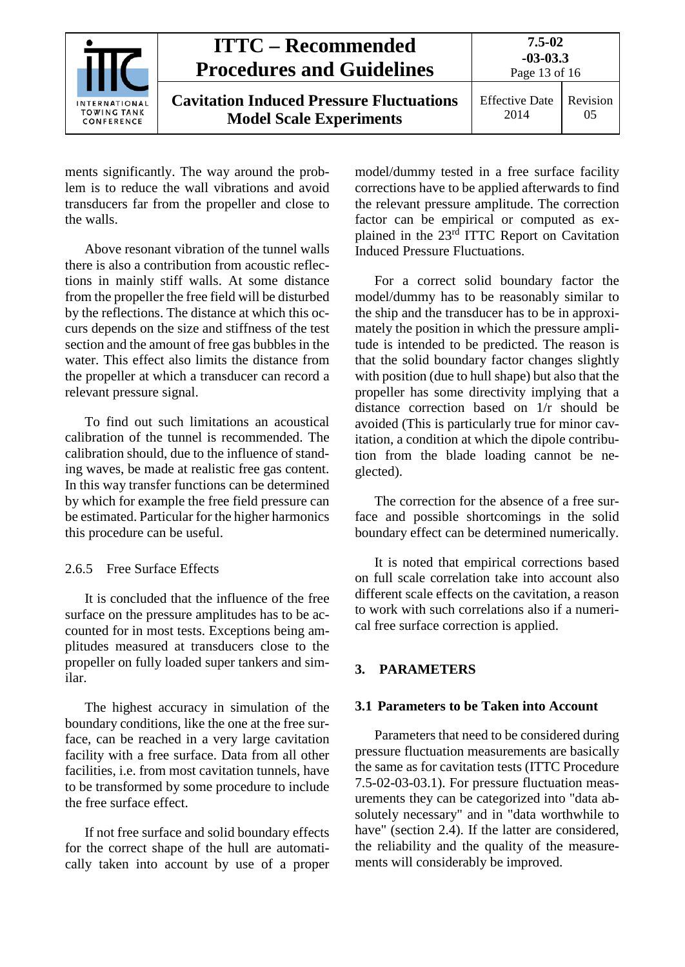

Effective Date 2014 Revision 05

ments significantly. The way around the problem is to reduce the wall vibrations and avoid transducers far from the propeller and close to the walls.

Above resonant vibration of the tunnel walls there is also a contribution from acoustic reflections in mainly stiff walls. At some distance from the propeller the free field will be disturbed by the reflections. The distance at which this occurs depends on the size and stiffness of the test section and the amount of free gas bubbles in the water. This effect also limits the distance from the propeller at which a transducer can record a relevant pressure signal.

To find out such limitations an acoustical calibration of the tunnel is recommended. The calibration should, due to the influence of standing waves, be made at realistic free gas content. In this way transfer functions can be determined by which for example the free field pressure can be estimated. Particular for the higher harmonics this procedure can be useful.

## <span id="page-12-0"></span>2.6.5 Free Surface Effects

It is concluded that the influence of the free surface on the pressure amplitudes has to be accounted for in most tests. Exceptions being amplitudes measured at transducers close to the propeller on fully loaded super tankers and similar.

The highest accuracy in simulation of the boundary conditions, like the one at the free surface, can be reached in a very large cavitation facility with a free surface. Data from all other facilities, i.e. from most cavitation tunnels, have to be transformed by some procedure to include the free surface effect.

If not free surface and solid boundary effects for the correct shape of the hull are automatically taken into account by use of a proper model/dummy tested in a free surface facility corrections have to be applied afterwards to find the relevant pressure amplitude. The correction factor can be empirical or computed as explained in the 23rd ITTC Report on Cavitation Induced Pressure Fluctuations.

For a correct solid boundary factor the model/dummy has to be reasonably similar to the ship and the transducer has to be in approximately the position in which the pressure amplitude is intended to be predicted. The reason is that the solid boundary factor changes slightly with position (due to hull shape) but also that the propeller has some directivity implying that a distance correction based on 1/r should be avoided (This is particularly true for minor cavitation, a condition at which the dipole contribution from the blade loading cannot be neglected).

The correction for the absence of a free surface and possible shortcomings in the solid boundary effect can be determined numerically.

It is noted that empirical corrections based on full scale correlation take into account also different scale effects on the cavitation, a reason to work with such correlations also if a numerical free surface correction is applied.

## <span id="page-12-2"></span><span id="page-12-1"></span>**3. PARAMETERS**

## **3.1 Parameters to be Taken into Account**

Parameters that need to be considered during pressure fluctuation measurements are basically the same as for cavitation tests (ITTC Procedure 7.5-02-03-03.1). For pressure fluctuation measurements they can be categorized into "data absolutely necessary" and in "data worthwhile to have" (section 2.4). If the latter are considered, the reliability and the quality of the measurements will considerably be improved.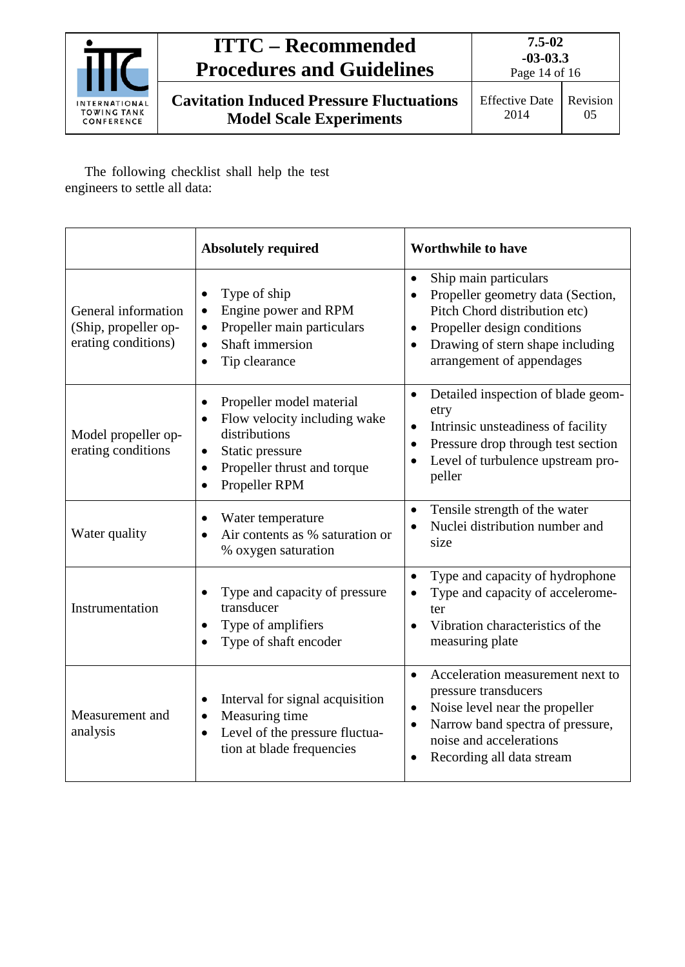

**7.5-02 -03-03.3**

**Cavitation Induced Pressure Fluctuations Model Scale Experiments**

The following checklist shall help the test engineers to settle all data:

|                                                                    | <b>Absolutely required</b>                                                                                                                                                                                    | <b>Worthwhile to have</b>                                                                                                                                                                                                          |  |
|--------------------------------------------------------------------|---------------------------------------------------------------------------------------------------------------------------------------------------------------------------------------------------------------|------------------------------------------------------------------------------------------------------------------------------------------------------------------------------------------------------------------------------------|--|
| General information<br>(Ship, propeller op-<br>erating conditions) | Type of ship<br>$\bullet$<br>Engine power and RPM<br>$\bullet$<br>Propeller main particulars<br>$\bullet$<br>Shaft immersion<br>$\bullet$<br>Tip clearance<br>$\bullet$                                       | Ship main particulars<br>$\bullet$<br>Propeller geometry data (Section,<br>Pitch Chord distribution etc)<br>Propeller design conditions<br>$\bullet$<br>Drawing of stern shape including<br>$\bullet$<br>arrangement of appendages |  |
| Model propeller op-<br>erating conditions                          | Propeller model material<br>$\bullet$<br>Flow velocity including wake<br>$\bullet$<br>distributions<br>Static pressure<br>$\bullet$<br>Propeller thrust and torque<br>$\bullet$<br>Propeller RPM<br>$\bullet$ | Detailed inspection of blade geom-<br>$\bullet$<br>etry<br>Intrinsic unsteadiness of facility<br>$\bullet$<br>Pressure drop through test section<br>$\bullet$<br>Level of turbulence upstream pro-<br>peller                       |  |
| Water quality                                                      | Water temperature<br>$\bullet$<br>Air contents as % saturation or<br>% oxygen saturation                                                                                                                      | Tensile strength of the water<br>$\bullet$<br>Nuclei distribution number and<br>size                                                                                                                                               |  |
| Instrumentation                                                    | Type and capacity of pressure<br>transducer<br>Type of amplifiers<br>$\bullet$<br>Type of shaft encoder<br>$\bullet$                                                                                          | Type and capacity of hydrophone<br>$\bullet$<br>Type and capacity of accelerome-<br>ter<br>Vibration characteristics of the<br>$\bullet$<br>measuring plate                                                                        |  |
| Measurement and<br>analysis                                        | Interval for signal acquisition<br>$\bullet$<br>Measuring time<br>$\bullet$<br>Level of the pressure fluctua-<br>$\bullet$<br>tion at blade frequencies                                                       | Acceleration measurement next to<br>$\bullet$<br>pressure transducers<br>Noise level near the propeller<br>$\bullet$<br>Narrow band spectra of pressure,<br>$\bullet$<br>noise and accelerations<br>Recording all data stream<br>٠ |  |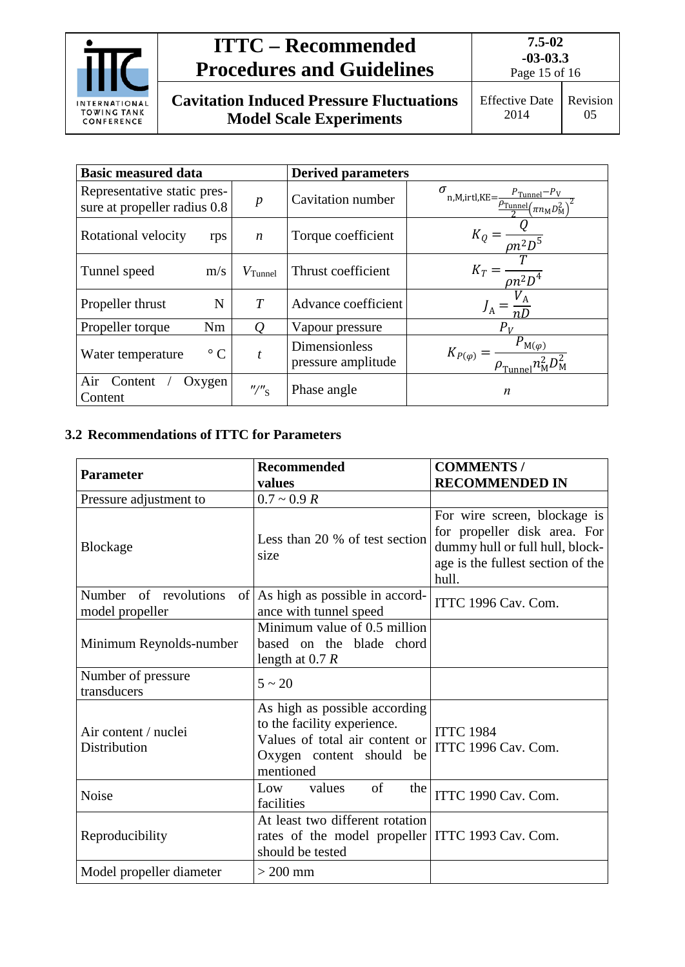

**7.5-02 -03-03.3** Page 15 of 16

**Cavitation Induced Pressure Fluctuations Model Scale Experiments**

Effective Date Revision

2014 05

| <b>Basic measured data</b>                                  |                                        | <b>Derived parameters</b>                  |                                                                                                                                       |
|-------------------------------------------------------------|----------------------------------------|--------------------------------------------|---------------------------------------------------------------------------------------------------------------------------------------|
| Representative static pres-<br>sure at propeller radius 0.8 | $\boldsymbol{p}$                       | Cavitation number                          | $\sigma$<br>n, M, irtl, KE = $\frac{P_{\text{Tunnel}} - P_{\text{V}}}{\frac{P_{\text{Tunnel}}}{2} (\pi n_{\text{M}} D_{\text{M}}^2)}$ |
| Rotational velocity<br>rps                                  | $\boldsymbol{n}$                       | Torque coefficient                         | $K_0$<br>$\overline{on_1^2D^5}$                                                                                                       |
| Tunnel speed<br>m/s                                         | $V$ Tunnel                             | Thrust coefficient                         | $K_T =$<br>$\overline{\rho n^2 D^4}$                                                                                                  |
| N<br>Propeller thrust                                       | T                                      | Advance coefficient                        |                                                                                                                                       |
| Propeller torque<br>Nm                                      | $\varrho$                              | Vapour pressure                            | $P_V$                                                                                                                                 |
| $\circ$ C<br>Water temperature                              |                                        | <b>Dimensionless</b><br>pressure amplitude | $P_{\text{M}(\varphi)}$<br>$K_{P(\varphi)} =$                                                                                         |
| Air<br>Content<br>Oxygen<br>Content                         | $^{\prime\prime}/\prime\prime_{\rm S}$ | Phase angle                                | n                                                                                                                                     |

## <span id="page-14-0"></span>**3.2 Recommendations of ITTC for Parameters**

| <b>Parameter</b>                         | <b>Recommended</b><br>values                                                                                                            | <b>COMMENTS /</b><br><b>RECOMMENDED IN</b>                                                                                                    |
|------------------------------------------|-----------------------------------------------------------------------------------------------------------------------------------------|-----------------------------------------------------------------------------------------------------------------------------------------------|
| Pressure adjustment to                   | $0.7 \sim 0.9 R$                                                                                                                        |                                                                                                                                               |
| <b>Blockage</b>                          | Less than 20 % of test section<br>size                                                                                                  | For wire screen, blockage is<br>for propeller disk area. For<br>dummy hull or full hull, block-<br>age is the fullest section of the<br>hull. |
| Number of revolutions<br>model propeller | of As high as possible in accord-<br>ance with tunnel speed                                                                             | ITTC 1996 Cav. Com.                                                                                                                           |
| Minimum Reynolds-number                  | Minimum value of 0.5 million<br>based on the blade chord<br>length at $0.7 R$                                                           |                                                                                                                                               |
| Number of pressure<br>transducers        | $5 \sim 20$                                                                                                                             |                                                                                                                                               |
| Air content / nuclei<br>Distribution     | As high as possible according<br>to the facility experience.<br>Values of total air content or<br>Oxygen content should be<br>mentioned | <b>ITTC 1984</b><br>ITTC 1996 Cav. Com.                                                                                                       |
| Noise                                    | of<br>Low<br>values<br>the<br>facilities                                                                                                | ITTC 1990 Cav. Com.                                                                                                                           |
| Reproducibility                          | At least two different rotation<br>rates of the model propeller   ITTC 1993 Cav. Com.<br>should be tested                               |                                                                                                                                               |
| Model propeller diameter                 | $>$ 200 mm                                                                                                                              |                                                                                                                                               |